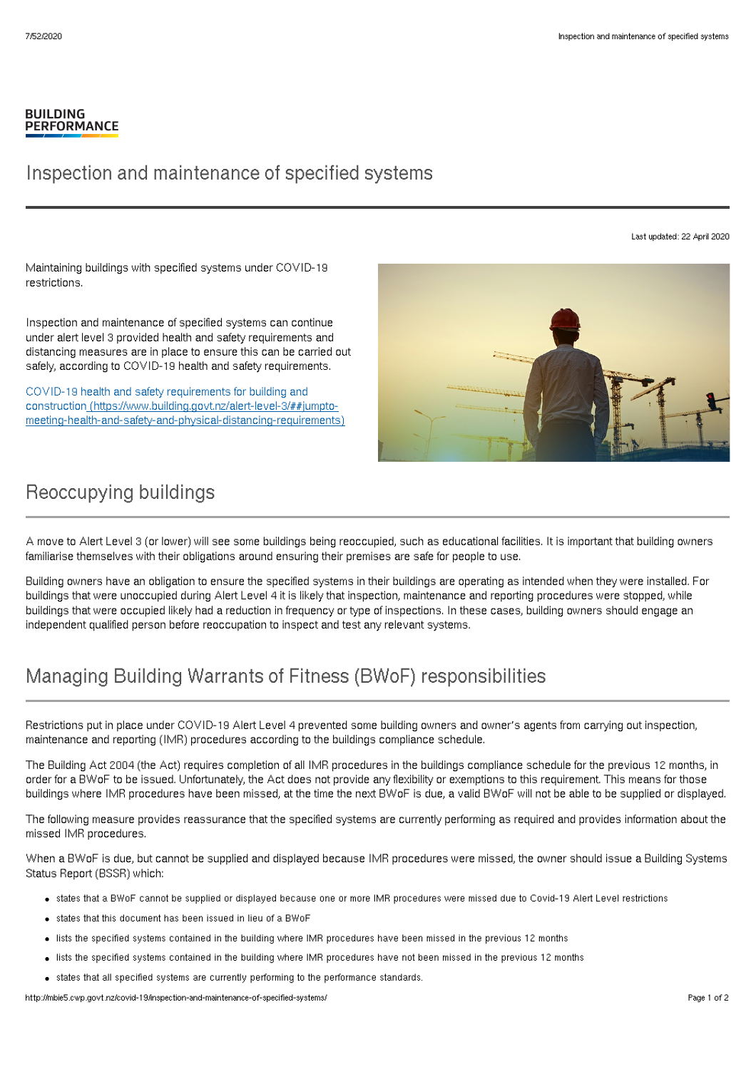#### **BUILDING PERFORMANCE**

### Inspection and maintenance of specified systems

Last updated: 22 April 2020

Maintaining buildings with specified systems under COVID-19 restrictions.

Inspection and maintenance of specified systems can continue under alert level 3 provided health and safety requirements and distancing measures are in place to ensure this can be carried out safely, according to COVID-19 health and safety requirements.

COVID-19 health and safety requirements for building and construction (https://www.building.govt.nz/alert-level-3/##jumpto[meeting-health-and-safety-and-physical-distancing-requirements\)](http://mbie5.cwp.govt.nz/alert-level-3/##jumpto-meeting-health-and-safety-and-physical-distancing-requirements)



# Reoccupying buildings

A move to Alert Level 3 (or lower) will see some buildings being reoccupied, such as educational facilities. It is important that building owners familiarise themselves with their obligations around ensuring their premises are safe for people to use.

Building owners have an obligation to ensure the specified systems in their buildings are operating as intended when they were installed. For buildings that were unoccupied during Alert Level 4 it is likely that inspection, maintenance and reporting procedures were stopped, while buildings that were occupied likely had a reduction in frequency or type of inspections. In these cases, building owners should engage an independent qualified person before reoccupation to inspect and test any relevant systems.

# Managing Building Warrants of Fitness (BWoF) responsibilities

Restrictions put in place under COVID-19 Alert Level 4 prevented some building owners and owner's agents from carrying out inspection, maintenance and reporting (IMR) procedures according to the buildings compliance schedule.

The Building Act 2004 (the Act) requires completion of all IMR procedures in the buildings compliance schedule for the previous 12 months, in order for a BWoF to be issued. Unfortunately, the Act does not provide any flexibility or exemptions to this requirement. This means for those buildings where IMR procedures have been missed, at the time the next BWoF is due, a valid BWoF will not be able to be supplied or displayed.

The following measure provides reassurance that the specified systems are currently performing as required and provides information about the missed IMR procedures.

When a BWoF is due, but cannot be supplied and displayed because IMR procedures were missed, the owner should issue a Building Systems Status Report (BSSR) which:

- states that a BWoF cannot be supplied or displayed because one or more IMR procedures were missed due to Covid-19 Alert Level restrictions
- states that this document has been issued in lieu of a BWoF
- lists the specified systems contained in the building where IMR procedures have been missed in the previous 12 months
- lists the specified systems contained in the building where IMR procedures have not been missed in the previous 12 months
- states that all specified systems are currently performing to the performance standards.

http://mbie5.cwp.govt.nz/covid-19/inspection-and-maintenance-of-specified-systems/ Page 1 of 2